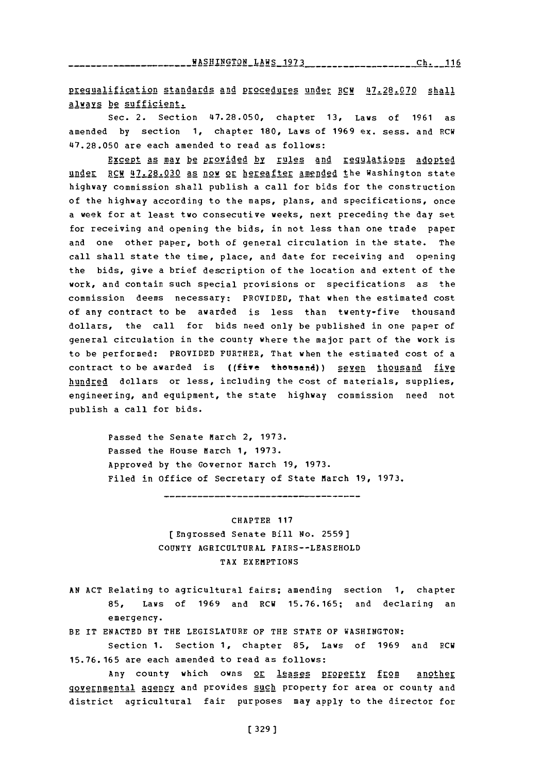----------------BASHINGTON\_LAWS\_1973\_\_\_\_\_\_\_\_\_\_\_\_\_\_\_\_\_\_\_Ch.\_\_116

pregualification standards and procedures under RCW 47.28.070 shall always be sufficient.

Sec. 2. Section **47.28.050,** chapter **13,** Laws of **1961** as amended **by** section **1,** chapter **180,** Laws of **1969** ex. sess. and RCW **47.28.050** are each amended to read as follows:

Except as may be provided by rules and requlations adopted under RCW **47.28.030** as now or hereafter amended the Washington state highway commission shall publish a call for bids for the construction of the highway according to the maps, plans, and specifications, once a week for at least two consecutive weeks, next preceding the day set for receiving and opening the bids, in not less than one trade paper and one other paper, both of general circulation in the state. The call shall state the time, place, and date for receiving and opening the bids, give a brief description of the location and extent of the work, and contain such special provisions or specifications as the commission deems necessary: PROVIDED, That when the estimated cost of any contract to be awarded is less than twenty-five thousand dollars, the call for bids need only be published in one paper of general circulation in the county where the major part of the work is to be performed: PROVIDED FURTHER, That when the estimated cost of a contract to be awarded is ((five thousand)) seven thousand five hundred dollars or less, including the cost of materials, supplies, engineering, and equipment, the state highway commission need not publish a call for bids.

> Passed the Senate March 2, **1973.** Passed the House March **1, 1973.** Approved **by** the Governor March **19, 1973.** Filed in office of Secretary of State March **19, 1973.**

> > CHAPTER **117** [Engrossed Senate Bill No. **2559] COUNTY** AGRICULTURAL FAIRS--LEASEHOLD TAX EXEMPTIONS

**AN ACT** Relating to agricultural fairs; amending section **1,** chapter **85,** Laws of **1969** and RCW **15.76.165;** and declaring an emergency.

BE IT **ENACTED** BY THE **LEGISLATURE** OF THE **STATE** OF WASHINGTON:

Section **1.** Section **1,** chapter **85,** Laws of **1969** and RCW **15.76. 165** are each amended to read as follows:

Any county which owns or leases property from another governmental agency and provides such property for area or county and district agricultural fair purposes may apply to the director for